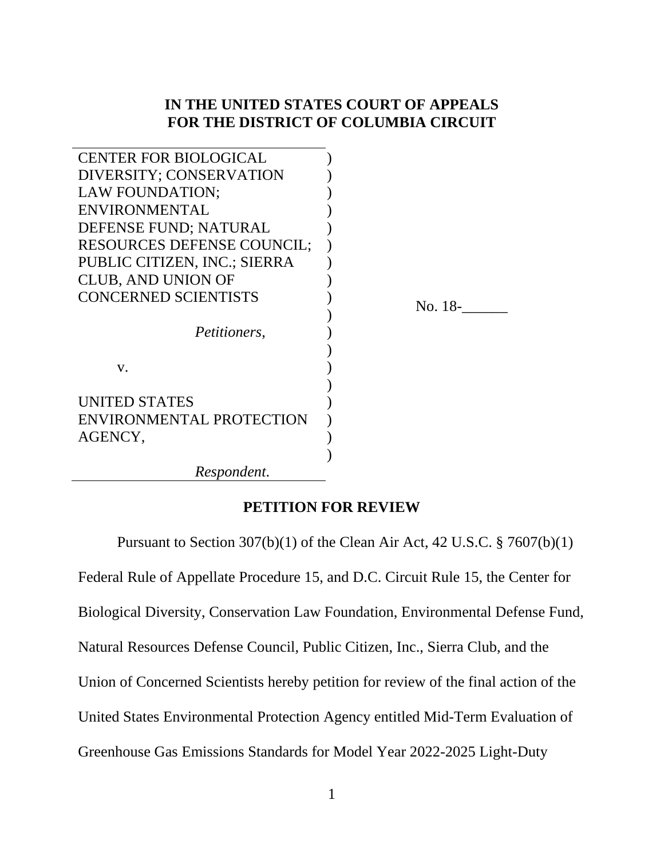## **IN THE UNITED STATES COURT OF APPEALS FOR THE DISTRICT OF COLUMBIA CIRCUIT**

| <b>CENTER FOR BIOLOGICAL</b>      |         |
|-----------------------------------|---------|
| DIVERSITY; CONSERVATION           |         |
| LAW FOUNDATION;                   |         |
| <b>ENVIRONMENTAL</b>              |         |
| DEFENSE FUND; NATURAL             |         |
| <b>RESOURCES DEFENSE COUNCIL;</b> |         |
| PUBLIC CITIZEN, INC.; SIERRA      |         |
| <b>CLUB, AND UNION OF</b>         |         |
| <b>CONCERNED SCIENTISTS</b>       | No. 18- |
|                                   |         |
| <i>Petitioners,</i>               |         |
|                                   |         |
| V.                                |         |
|                                   |         |
| <b>UNITED STATES</b>              |         |
| ENVIRONMENTAL PROTECTION          |         |
| AGENCY,                           |         |
|                                   |         |
| Respondent.                       |         |

### **PETITION FOR REVIEW**

Pursuant to Section  $307(b)(1)$  of the Clean Air Act, 42 U.S.C. § 7607(b)(1) Federal Rule of Appellate Procedure 15, and D.C. Circuit Rule 15, the Center for Biological Diversity, Conservation Law Foundation, Environmental Defense Fund, Natural Resources Defense Council, Public Citizen, Inc., Sierra Club, and the Union of Concerned Scientists hereby petition for review of the final action of the United States Environmental Protection Agency entitled Mid-Term Evaluation of Greenhouse Gas Emissions Standards for Model Year 2022-2025 Light-Duty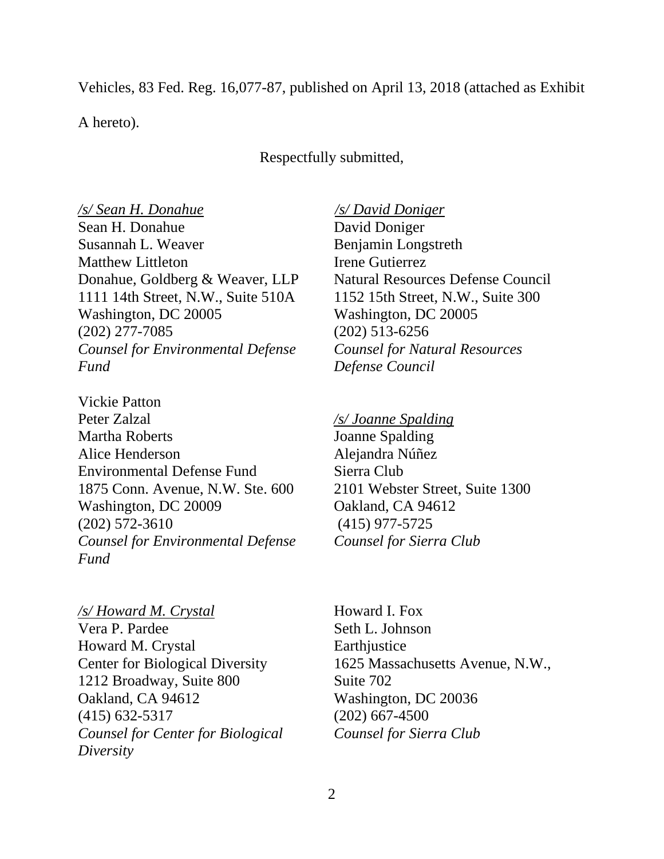Vehicles, 83 Fed. Reg. 16,077-87, published on April 13, 2018 (attached as Exhibit

A hereto).

Respectfully submitted,

*/s/ Sean H. Donahue /s/ David Doniger* Sean H. Donahue Susannah L. Weaver Matthew Littleton Donahue, Goldberg & Weaver, LLP 1111 14th Street, N.W., Suite 510A Washington, DC 20005 (202) 277-7085 *Counsel for Environmental Defense Fund*

Vickie Patton Peter Zalzal Martha Roberts Alice Henderson Environmental Defense Fund 1875 Conn. Avenue, N.W. Ste. 600 Washington, DC 20009 (202) 572-3610 *Counsel for Environmental Defense Fund*

*/s/ Howard M. Crystal* Vera P. Pardee Howard M. Crystal Center for Biological Diversity 1212 Broadway, Suite 800 Oakland, CA 94612 (415) 632-5317 *Counsel for Center for Biological Diversity*

David Doniger Benjamin Longstreth Irene Gutierrez Natural Resources Defense Council 1152 15th Street, N.W., Suite 300 Washington, DC 20005 (202) 513-6256 *Counsel for Natural Resources Defense Council*

*/s/ Joanne Spalding* Joanne Spalding Alejandra Núñez Sierra Club 2101 Webster Street, Suite 1300 Oakland, CA 94612 (415) 977-5725 *Counsel for Sierra Club*

Howard I. Fox Seth L. Johnson **Earthjustice** 1625 Massachusetts Avenue, N.W., Suite 702 Washington, DC 20036 (202) 667-4500 *Counsel for Sierra Club*